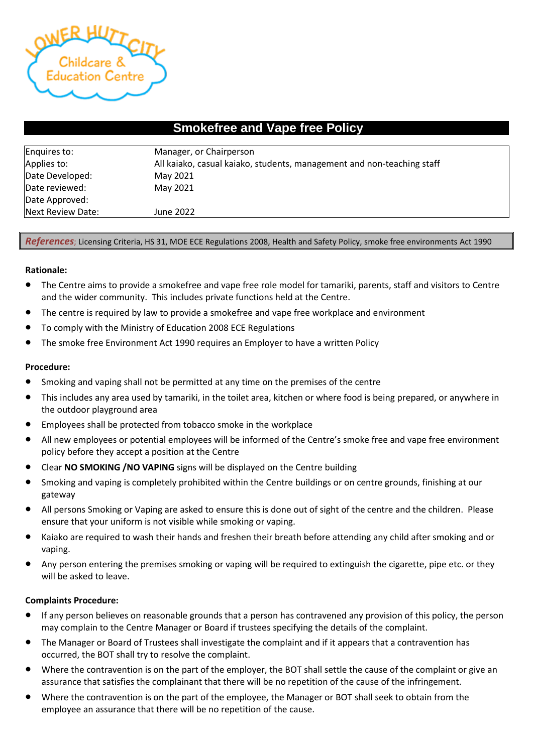

# **Smokefree and Vape free Policy**

| Enquires to:      | Manager, or Chairperson                                                |  |  |
|-------------------|------------------------------------------------------------------------|--|--|
| Applies to:       | All kaiako, casual kaiako, students, management and non-teaching staff |  |  |
| Date Developed:   | May 2021                                                               |  |  |
| Date reviewed:    | May 2021                                                               |  |  |
| Date Approved:    |                                                                        |  |  |
| Next Review Date: | June 2022                                                              |  |  |

### *References*; Licensing Criteria, HS 31, MOE ECE Regulations 2008, Health and Safety Policy, smoke free environments Act 1990

#### **Rationale:**

- The Centre aims to provide a smokefree and vape free role model for tamariki, parents, staff and visitors to Centre and the wider community. This includes private functions held at the Centre.
- The centre is required by law to provide a smokefree and vape free workplace and environment
- To comply with the Ministry of Education 2008 ECE Regulations
- The smoke free Environment Act 1990 requires an Employer to have a written Policy

## **Procedure:**

- Smoking and vaping shall not be permitted at any time on the premises of the centre
- This includes any area used by tamariki, in the toilet area, kitchen or where food is being prepared, or anywhere in the outdoor playground area
- Employees shall be protected from tobacco smoke in the workplace
- All new employees or potential employees will be informed of the Centre's smoke free and vape free environment policy before they accept a position at the Centre
- Clear **NO SMOKING /NO VAPING** signs will be displayed on the Centre building
- Smoking and vaping is completely prohibited within the Centre buildings or on centre grounds, finishing at our gateway
- All persons Smoking or Vaping are asked to ensure this is done out of sight of the centre and the children. Please ensure that your uniform is not visible while smoking or vaping.
- Kaiako are required to wash their hands and freshen their breath before attending any child after smoking and or vaping.
- Any person entering the premises smoking or vaping will be required to extinguish the cigarette, pipe etc. or they will be asked to leave.

#### **Complaints Procedure:**

- If any person believes on reasonable grounds that a person has contravened any provision of this policy, the person may complain to the Centre Manager or Board if trustees specifying the details of the complaint.
- The Manager or Board of Trustees shall investigate the complaint and if it appears that a contravention has occurred, the BOT shall try to resolve the complaint.
- Where the contravention is on the part of the employer, the BOT shall settle the cause of the complaint or give an assurance that satisfies the complainant that there will be no repetition of the cause of the infringement.
- Where the contravention is on the part of the employee, the Manager or BOT shall seek to obtain from the employee an assurance that there will be no repetition of the cause.